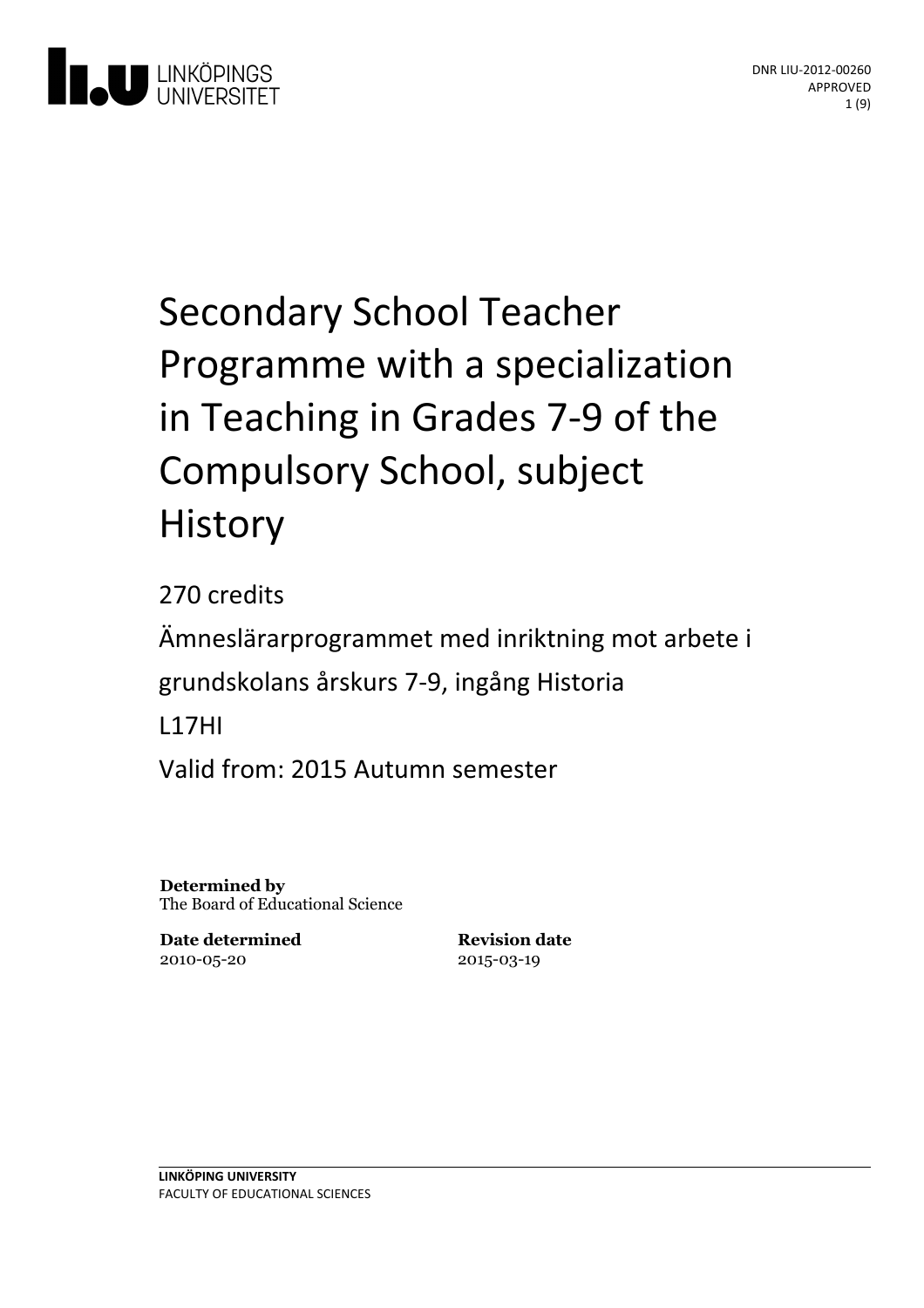

# Secondary School Teacher Programme with a specialization in Teaching in Grades 7-9 of the Compulsory School, subject History

270 credits Ämneslärarprogrammet med inriktning motarbete i grundskolansårskurs 7-9, ingång Historia L17HI Valid from: 2015 Autumn semester

**Determined by** The Board of Educational Science

**Date determined** 2010-05-20

**Revision date** 2015-03-19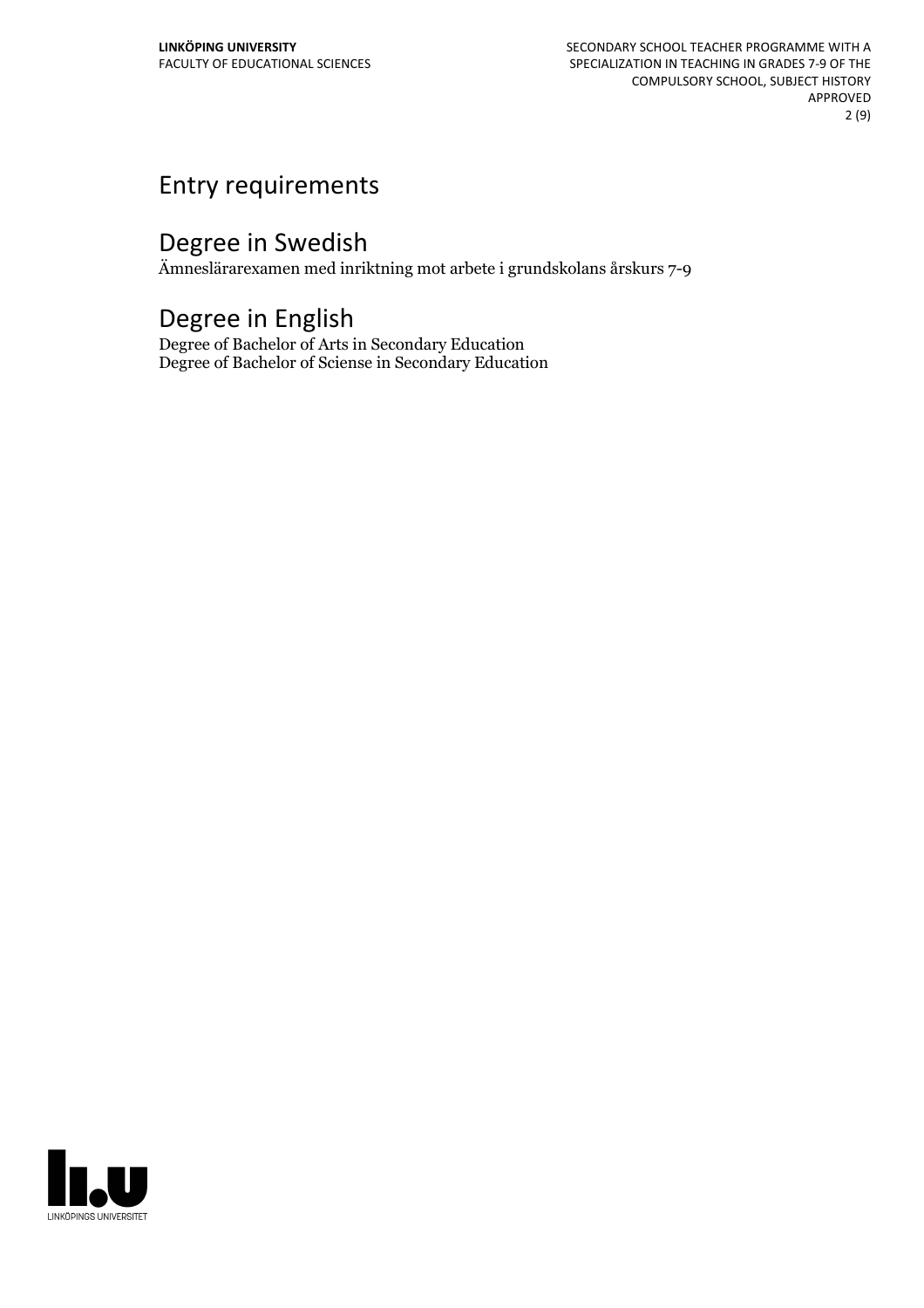# Entry requirements

# Degree in Swedish

Ämneslärarexamen med inriktning mot arbete i grundskolans årskurs 7-9

# Degree in English

Degree of Bachelor of Arts in Secondary Education Degree of Bachelor of Sciense in Secondary Education

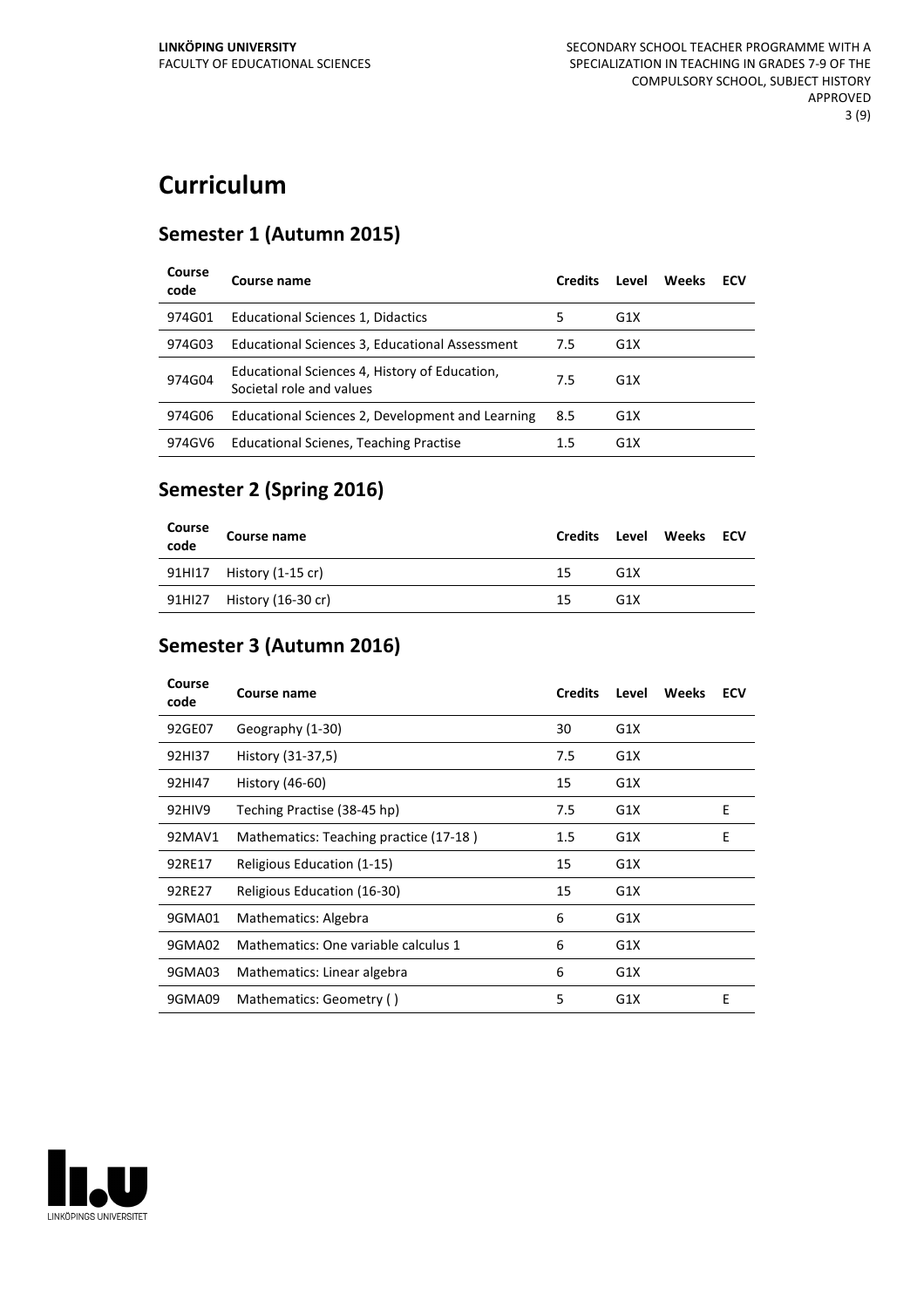# **Curriculum**

#### **Semester 1 (Autumn 2015)**

| Course<br>code | Course name                                                               | <b>Credits</b> | Level            | Weeks | ECV |
|----------------|---------------------------------------------------------------------------|----------------|------------------|-------|-----|
| 974G01         | Educational Sciences 1, Didactics                                         | 5              | G <sub>1</sub> X |       |     |
| 974G03         | Educational Sciences 3, Educational Assessment                            | 7.5            | G <sub>1</sub> X |       |     |
| 974G04         | Educational Sciences 4, History of Education,<br>Societal role and values | 7.5            | G <sub>1</sub> X |       |     |
| 974G06         | Educational Sciences 2, Development and Learning                          | 8.5            | G <sub>1</sub> X |       |     |
| 974GV6         | <b>Educational Scienes, Teaching Practise</b>                             | 1.5            | G <sub>1</sub> X |       |     |

#### **Semester 2 (Spring 2016)**

| Course<br>code | <b>Course name</b>        | <b>Credits</b> |                 | Level Weeks ECV |  |
|----------------|---------------------------|----------------|-----------------|-----------------|--|
|                | 91HI17 History (1-15 cr)  | 15             | G <sub>1X</sub> |                 |  |
|                | 91HI27 History (16-30 cr) | 15             | G <sub>1X</sub> |                 |  |

### **Semester 3 (Autumn 2016)**

| Course<br>code | Course name                            | <b>Credits</b> | Level | <b>Weeks</b> | <b>ECV</b> |
|----------------|----------------------------------------|----------------|-------|--------------|------------|
| 92GE07         | Geography (1-30)                       | 30             | G1X   |              |            |
| 92HI37         | History (31-37,5)                      | 7.5            | G1X   |              |            |
| 92HI47         | History (46-60)                        | 15             | G1X   |              |            |
| 92HIV9         | Teching Practise (38-45 hp)            | 7.5            | G1X   |              | E          |
| 92MAV1         | Mathematics: Teaching practice (17-18) | 1.5            | G1X   |              | E          |
| 92RE17         | Religious Education (1-15)             | 15             | G1X   |              |            |
| 92RE27         | Religious Education (16-30)            | 15             | G1X   |              |            |
| 9GMA01         | Mathematics: Algebra                   | 6              | G1X   |              |            |
| 9GMA02         | Mathematics: One variable calculus 1   | 6              | G1X   |              |            |
| 9GMA03         | Mathematics: Linear algebra            | 6              | G1X   |              |            |
| 9GMA09         | Mathematics: Geometry ()               | 5              | G1X   |              | E          |

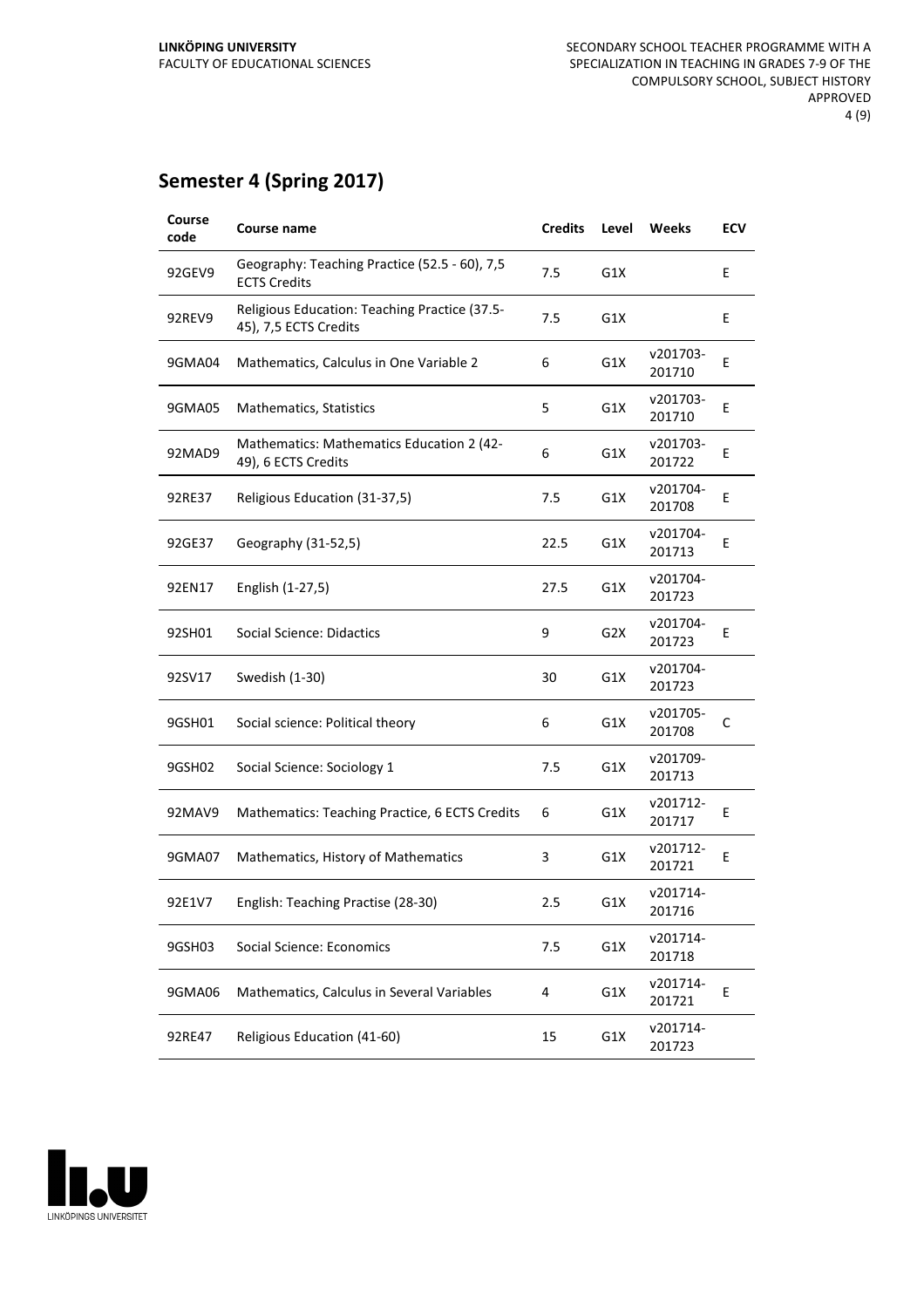## **Semester 4 (Spring 2017)**

| Course<br>code | <b>Course name</b>                                                     | <b>Credits</b> | Level | Weeks              | ECV |
|----------------|------------------------------------------------------------------------|----------------|-------|--------------------|-----|
| 92GEV9         | Geography: Teaching Practice (52.5 - 60), 7,5<br><b>ECTS Credits</b>   | 7.5            | G1X   |                    | E   |
| 92REV9         | Religious Education: Teaching Practice (37.5-<br>45), 7,5 ECTS Credits | 7.5            | G1X   |                    | E   |
| 9GMA04         | Mathematics, Calculus in One Variable 2                                | 6              | G1X   | v201703-<br>201710 | E   |
| 9GMA05         | Mathematics, Statistics                                                | 5              | G1X   | v201703-<br>201710 | E   |
| 92MAD9         | Mathematics: Mathematics Education 2 (42-<br>49), 6 ECTS Credits       | 6              | G1X   | v201703-<br>201722 | Ε   |
| 92RE37         | Religious Education (31-37,5)                                          | 7.5            | G1X   | v201704-<br>201708 | Ε   |
| 92GE37         | Geography (31-52,5)                                                    | 22.5           | G1X   | v201704-<br>201713 | E   |
| 92EN17         | English (1-27,5)                                                       | 27.5           | G1X   | v201704-<br>201723 |     |
| 92SH01         | Social Science: Didactics                                              | 9              | G2X   | v201704-<br>201723 | Е   |
| 92SV17         | Swedish (1-30)                                                         | 30             | G1X   | v201704-<br>201723 |     |
| 9GSH01         | Social science: Political theory                                       | 6              | G1X   | v201705-<br>201708 | C   |
| 9GSH02         | Social Science: Sociology 1                                            | 7.5            | G1X   | v201709-<br>201713 |     |
| 92MAV9         | Mathematics: Teaching Practice, 6 ECTS Credits                         | 6              | G1X   | v201712-<br>201717 | Ε   |
| 9GMA07         | Mathematics, History of Mathematics                                    | 3              | G1X   | v201712-<br>201721 | E   |
| 92E1V7         | English: Teaching Practise (28-30)                                     | 2.5            | G1X   | v201714-<br>201716 |     |
| 9GSH03         | Social Science: Economics                                              | 7.5            | G1X   | v201714-<br>201718 |     |
| 9GMA06         | Mathematics, Calculus in Several Variables                             | 4              | G1X   | v201714-<br>201721 | E   |
| 92RE47         | Religious Education (41-60)                                            | 15             | G1X   | v201714-<br>201723 |     |
|                |                                                                        |                |       |                    |     |

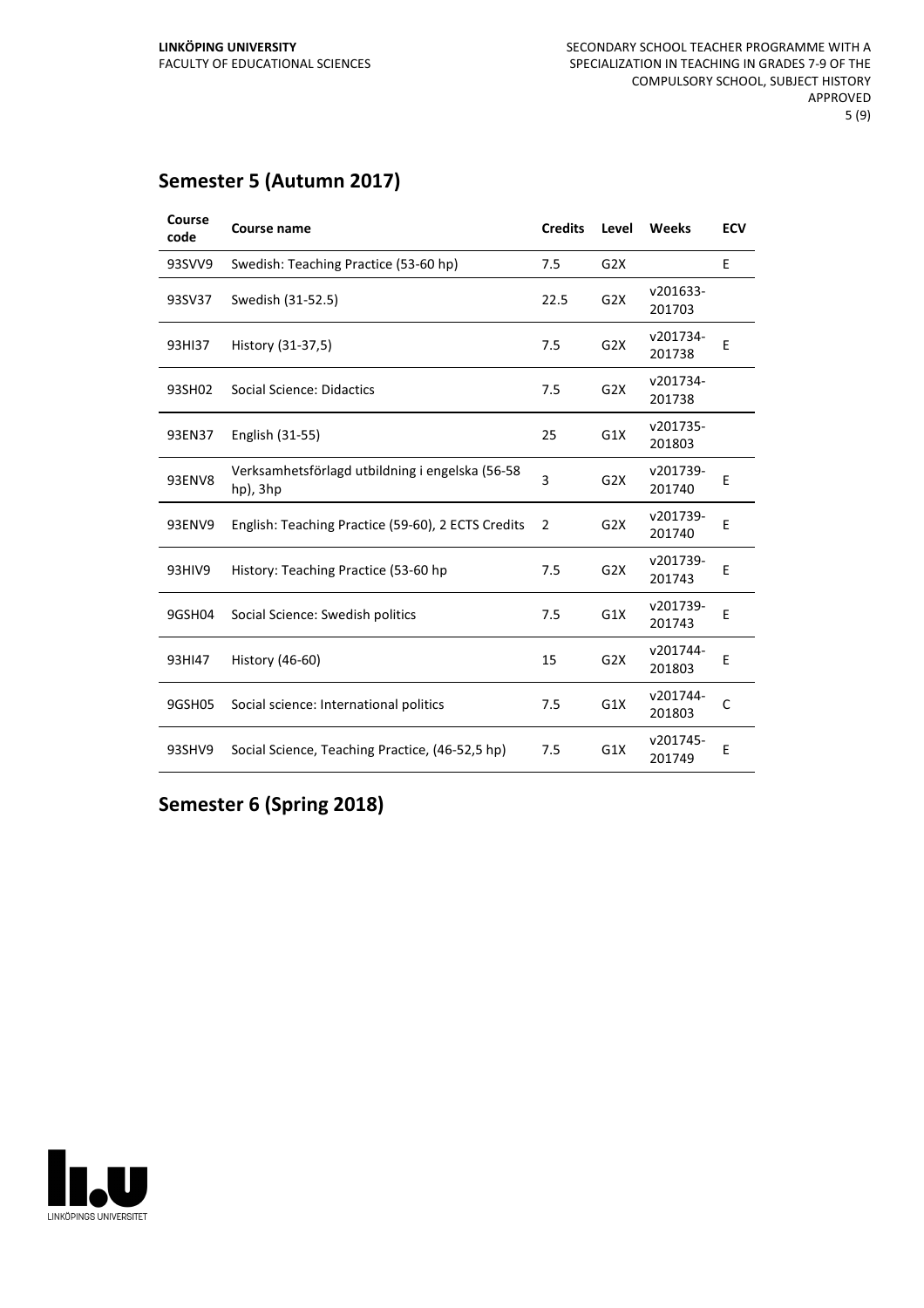#### **Semester 5 (Autumn 2017)**

| Course<br>code | <b>Course name</b>                                          | <b>Credits</b> | Level            | <b>Weeks</b>       | <b>ECV</b> |
|----------------|-------------------------------------------------------------|----------------|------------------|--------------------|------------|
| 93SVV9         | Swedish: Teaching Practice (53-60 hp)                       | 7.5            | G <sub>2</sub> X |                    | E          |
| 93SV37         | Swedish (31-52.5)                                           | 22.5           | G <sub>2</sub> X | v201633-<br>201703 |            |
| 93HI37         | History (31-37,5)                                           | 7.5            | G <sub>2</sub> X | v201734-<br>201738 | E          |
| 93SH02         | <b>Social Science: Didactics</b>                            | 7.5            | G <sub>2</sub> X | v201734-<br>201738 |            |
| 93EN37         | English (31-55)                                             | 25             | G1X              | v201735-<br>201803 |            |
| <b>93ENV8</b>  | Verksamhetsförlagd utbildning i engelska (56-58<br>hp), 3hp | 3              | G <sub>2</sub> X | v201739-<br>201740 | E          |
| 93ENV9         | English: Teaching Practice (59-60), 2 ECTS Credits          | $\overline{2}$ | G <sub>2</sub> X | v201739-<br>201740 | E          |
| 93HIV9         | History: Teaching Practice (53-60 hp                        | 7.5            | G <sub>2</sub> X | v201739-<br>201743 | E          |
| 9GSH04         | Social Science: Swedish politics                            | 7.5            | G1X              | v201739-<br>201743 | E          |
| 93HI47         | History (46-60)                                             | 15             | G <sub>2</sub> X | v201744-<br>201803 | E          |
| 9GSH05         | Social science: International politics                      | 7.5            | G1X              | v201744-<br>201803 | C          |
| 93SHV9         | Social Science, Teaching Practice, (46-52,5 hp)             | 7.5            | G1X              | v201745-<br>201749 | E          |

**Semester 6 (Spring 2018)**

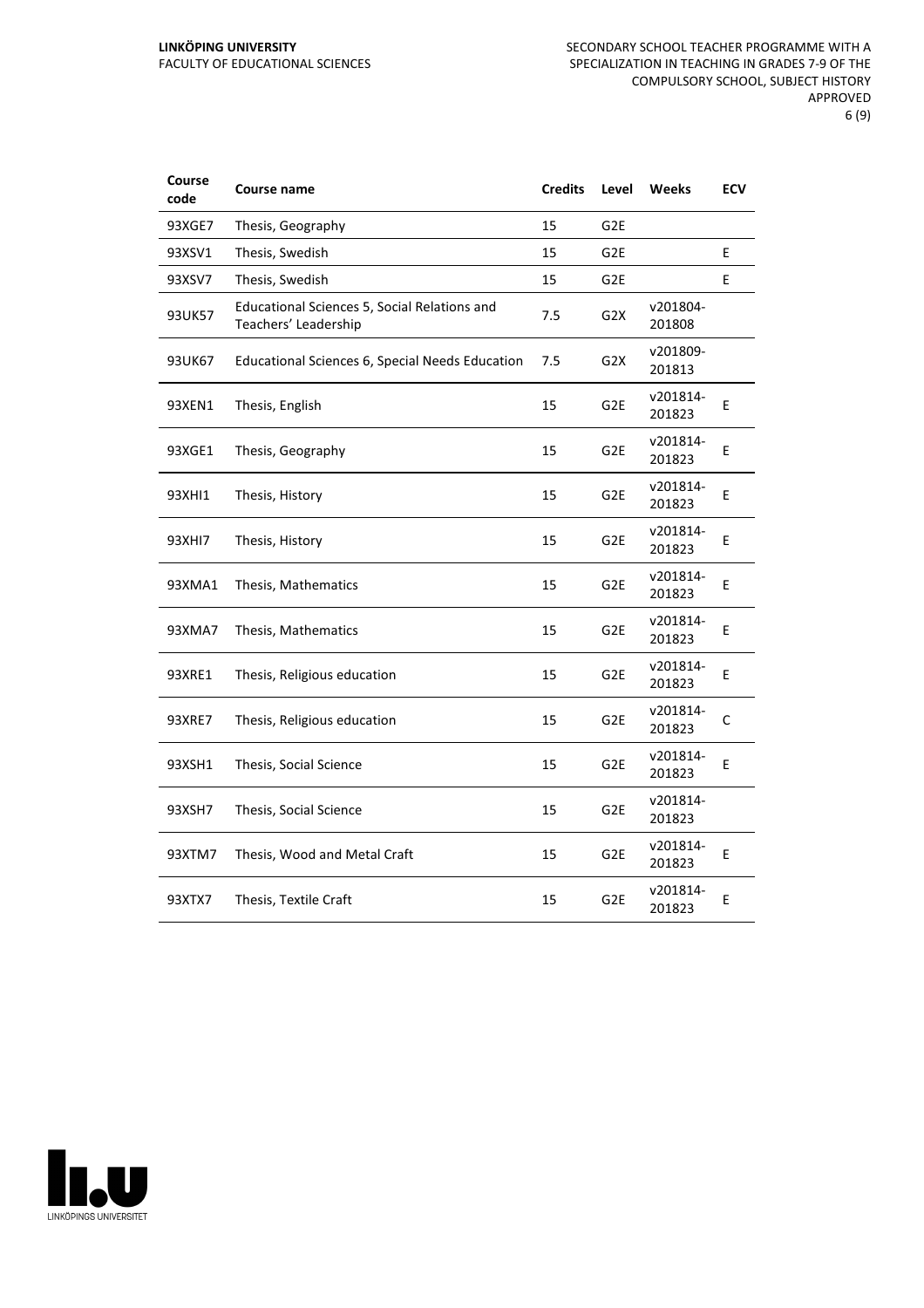| Course<br>code | <b>Course name</b>                                                   | <b>Credits</b> | Level            | Weeks              | <b>ECV</b> |
|----------------|----------------------------------------------------------------------|----------------|------------------|--------------------|------------|
| 93XGE7         | Thesis, Geography                                                    | 15             | G <sub>2E</sub>  |                    |            |
| 93XSV1         | Thesis, Swedish                                                      | 15             | G <sub>2E</sub>  |                    | E          |
| 93XSV7         | Thesis, Swedish                                                      | 15             | G <sub>2E</sub>  |                    | E          |
| 93UK57         | Educational Sciences 5, Social Relations and<br>Teachers' Leadership | 7.5            | G <sub>2</sub> X | v201804-<br>201808 |            |
| 93UK67         | Educational Sciences 6, Special Needs Education                      | 7.5            | G <sub>2</sub> X | v201809-<br>201813 |            |
| 93XEN1         | Thesis, English                                                      | 15             | G <sub>2E</sub>  | v201814-<br>201823 | E          |
| 93XGE1         | Thesis, Geography                                                    | 15             | G <sub>2E</sub>  | v201814-<br>201823 | E          |
| 93XHI1         | Thesis, History                                                      | 15             | G <sub>2E</sub>  | v201814-<br>201823 | E          |
| 93XHI7         | Thesis, History                                                      | 15             | G <sub>2E</sub>  | v201814-<br>201823 | E          |
| 93XMA1         | Thesis, Mathematics                                                  | 15             | G <sub>2E</sub>  | v201814-<br>201823 | E          |
| 93XMA7         | Thesis, Mathematics                                                  | 15             | G <sub>2E</sub>  | v201814-<br>201823 | E          |
| 93XRE1         | Thesis, Religious education                                          | 15             | G <sub>2E</sub>  | v201814-<br>201823 | E          |
| 93XRE7         | Thesis, Religious education                                          | 15             | G <sub>2E</sub>  | v201814-<br>201823 | C          |
| 93XSH1         | Thesis, Social Science                                               | 15             | G <sub>2E</sub>  | v201814-<br>201823 | Е          |
| 93XSH7         | Thesis, Social Science                                               | 15             | G <sub>2E</sub>  | v201814-<br>201823 |            |
| 93XTM7         | Thesis, Wood and Metal Craft                                         | 15             | G <sub>2E</sub>  | v201814-<br>201823 | Е          |
| 93XTX7         | Thesis, Textile Craft                                                | 15             | G <sub>2E</sub>  | v201814-<br>201823 | E          |

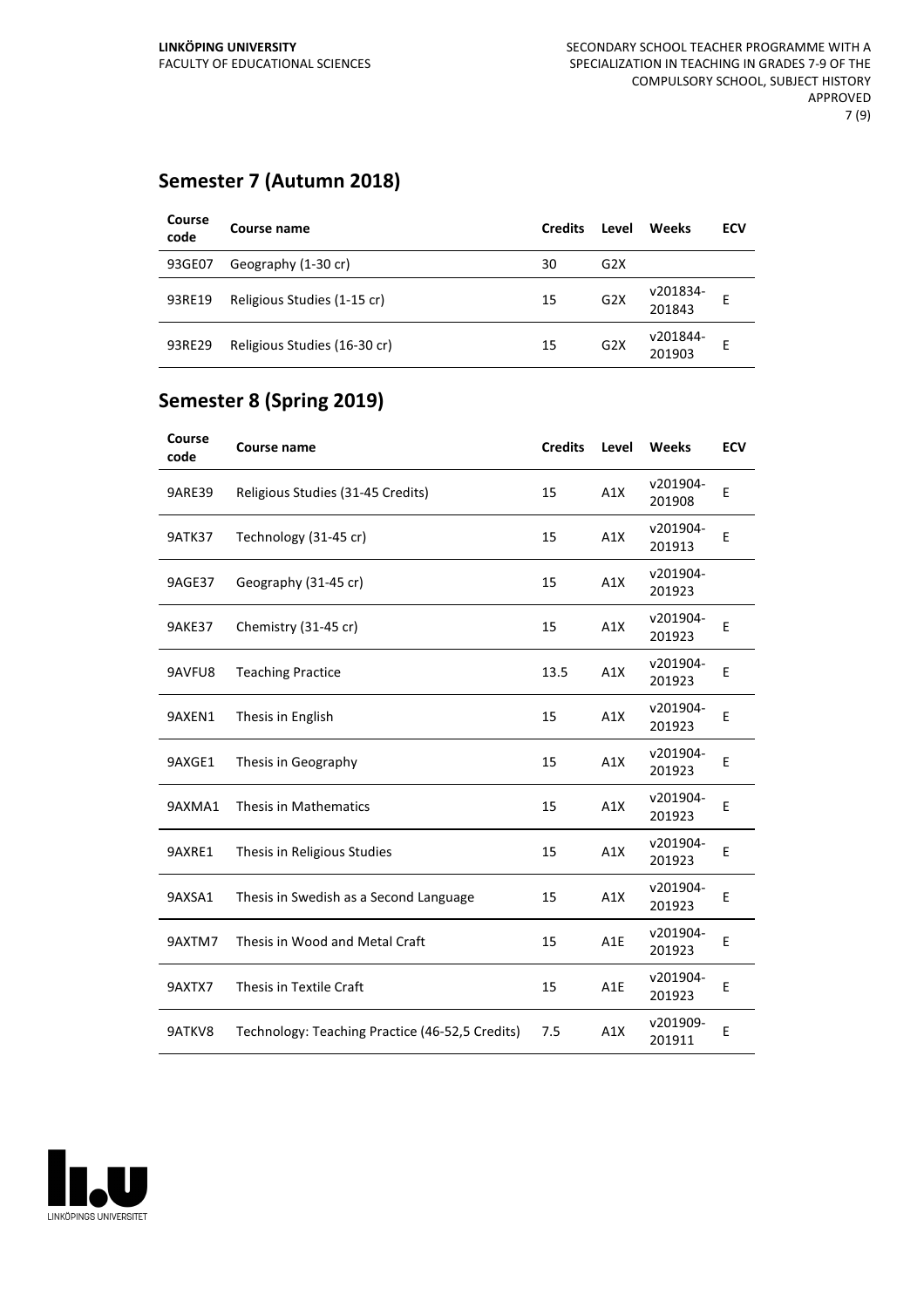#### **Semester 7 (Autumn 2018)**

| Course<br>code | Course name                  | <b>Credits</b> | Level            | Weeks              | ECV |
|----------------|------------------------------|----------------|------------------|--------------------|-----|
| 93GE07         | Geography (1-30 cr)          | 30             | G <sub>2</sub> X |                    |     |
| 93RE19         | Religious Studies (1-15 cr)  | 15             | G2X              | v201834-<br>201843 | Е   |
| 93RE29         | Religious Studies (16-30 cr) | 15             | G2X              | v201844-<br>201903 | ۲   |

#### **Semester 8 (Spring 2019)**

| Course<br>code | Course name                                     | <b>Credits</b> | Level | <b>Weeks</b>       | <b>ECV</b> |
|----------------|-------------------------------------------------|----------------|-------|--------------------|------------|
| 9ARE39         | Religious Studies (31-45 Credits)               | 15             | A1X   | v201904-<br>201908 | E          |
| <b>9ATK37</b>  | Technology (31-45 cr)                           | 15             | A1X   | v201904-<br>201913 | E          |
| 9AGE37         | Geography (31-45 cr)                            | 15             | A1X   | v201904-<br>201923 |            |
| <b>9AKE37</b>  | Chemistry (31-45 cr)                            | 15             | A1X   | v201904-<br>201923 | E          |
| 9AVFU8         | <b>Teaching Practice</b>                        | 13.5           | A1X   | v201904-<br>201923 | E          |
| 9AXEN1         | Thesis in English                               | 15             | A1X   | v201904-<br>201923 | E          |
| 9AXGE1         | Thesis in Geography                             | 15             | A1X   | v201904-<br>201923 | E          |
| 9AXMA1         | Thesis in Mathematics                           | 15             | A1X   | v201904-<br>201923 | Ε          |
| 9AXRE1         | Thesis in Religious Studies                     | 15             | A1X   | v201904-<br>201923 | Ε          |
| 9AXSA1         | Thesis in Swedish as a Second Language          | 15             | A1X   | v201904-<br>201923 | E          |
| 9AXTM7         | Thesis in Wood and Metal Craft                  | 15             | A1E   | v201904-<br>201923 | E          |
| 9AXTX7         | Thesis in Textile Craft                         | 15             | A1E   | v201904-<br>201923 | E          |
| 9ATKV8         | Technology: Teaching Practice (46-52,5 Credits) | 7.5            | A1X   | v201909-<br>201911 | E          |

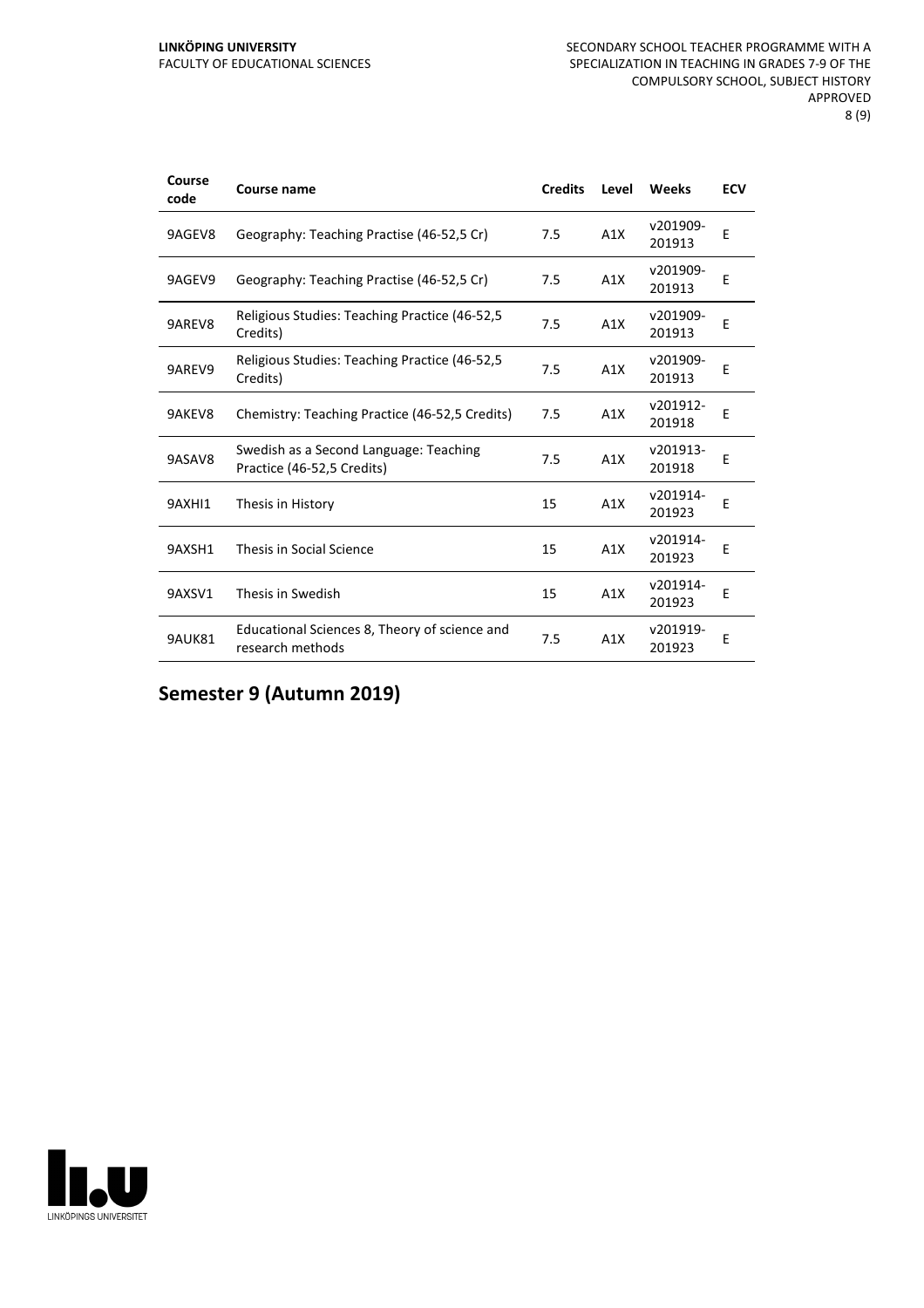#### **LINKÖPING UNIVERSITY** FACULTY OF EDUCATIONAL SCIENCES

| Course<br>code | Course name                                                          | <b>Credits</b> | Level | Weeks              | <b>ECV</b> |
|----------------|----------------------------------------------------------------------|----------------|-------|--------------------|------------|
| 9AGEV8         | Geography: Teaching Practise (46-52,5 Cr)                            | 7.5            | A1X   | v201909-<br>201913 | E          |
| 9AGEV9         | Geography: Teaching Practise (46-52,5 Cr)                            | 7.5            | A1X   | v201909-<br>201913 | E          |
| 9AREV8         | Religious Studies: Teaching Practice (46-52,5)<br>Credits)           | 7.5            | A1X   | v201909-<br>201913 | E          |
| 9AREV9         | Religious Studies: Teaching Practice (46-52,5)<br>Credits)           | 7.5            | A1X   | v201909-<br>201913 | E          |
| 9AKEV8         | Chemistry: Teaching Practice (46-52,5 Credits)                       | 7.5            | A1X   | v201912-<br>201918 | F          |
| 9ASAV8         | Swedish as a Second Language: Teaching<br>Practice (46-52,5 Credits) | 7.5            | A1X   | v201913-<br>201918 | Ε          |
| 9AXHI1         | Thesis in History                                                    | 15             | A1X   | v201914-<br>201923 | Е          |
| 9AXSH1         | Thesis in Social Science                                             | 15             | A1X   | v201914-<br>201923 | E          |
| 9AXSV1         | Thesis in Swedish                                                    | 15             | A1X   | v201914-<br>201923 | E          |
| <b>9AUK81</b>  | Educational Sciences 8, Theory of science and<br>research methods    | 7.5            | A1X   | v201919-<br>201923 | E          |

**Semester 9 (Autumn 2019)**